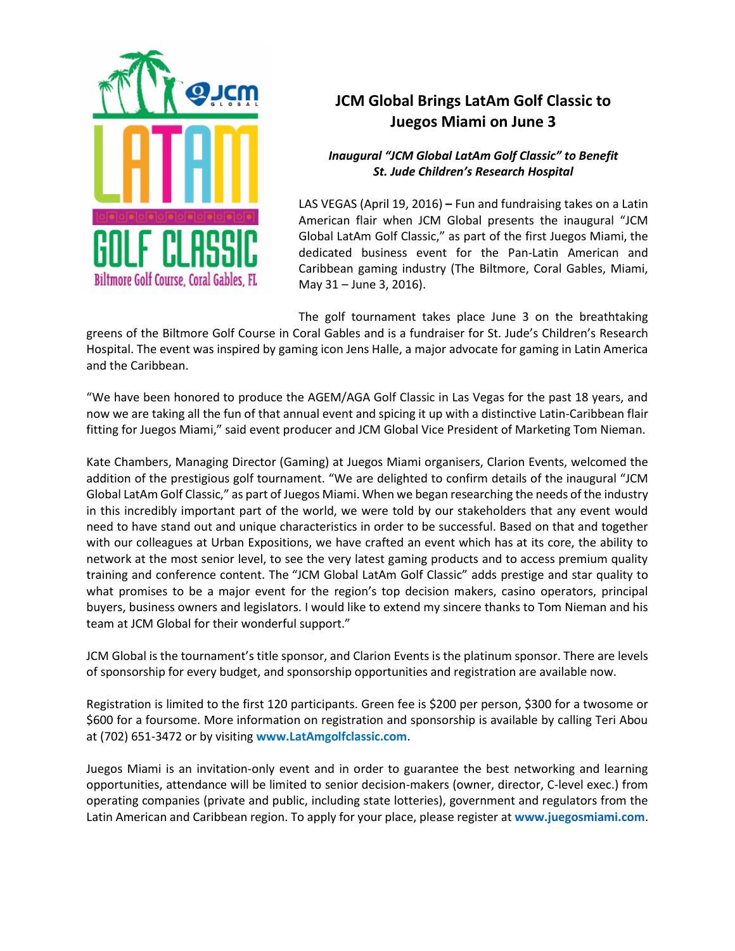

## **JCM Global Brings LatAm Golf Classic to Juegos Miami on June 3**

## *Inaugural "JCM Global LatAm Golf Classic" to Benefit St. Jude Children's Research Hospital*

LAS VEGAS (April 19, 2016) **–** Fun and fundraising takes on a Latin American flair when JCM Global presents the inaugural "[JCM](http://www.latamgolfclassic.com/)  [Global LatAm](http://www.latamgolfclassic.com/) Golf Classic," as part of the first [Juegos Miami,](http://www.juegosmiami.com/en/) the dedicated business event for the Pan-Latin American and Caribbean gaming industry (The Biltmore, Coral Gables, Miami, May 31 – June 3, 2016).

The golf tournament takes place June 3 on the breathtaking

greens of the Biltmore Golf Course in Coral Gables and is a fundraiser for St. Jude's Children's Research Hospital. The event was inspired by gaming icon Jens Halle, a major advocate for gaming in Latin America and the Caribbean.

"We have been honored to produce the AGEM/AGA Golf Classic in Las Vegas for the past 18 years, and now we are taking all the fun of that annual event and spicing it up with a distinctive Latin-Caribbean flair fitting for Juegos Miami," said event producer and JCM Global Vice President of Marketing Tom Nieman.

Kate Chambers, Managing Director (Gaming) at Juegos Miami organisers, Clarion Events, welcomed the addition of the prestigious golf tournament. "We are delighted to confirm details of the inaugural "JCM Global LatAm Golf Classic," as part of Juegos Miami. When we began researching the needs of the industry in this incredibly important part of the world, we were told by our stakeholders that any event would need to have stand out and unique characteristics in order to be successful. Based on that and together with our colleagues at Urban Expositions, we have crafted an event which has at its core, the ability to network at the most senior level, to see the very latest gaming products and to access premium quality training and conference content. The "JCM Global LatAm Golf Classic" adds prestige and star quality to what promises to be a major event for the region's top decision makers, casino operators, principal buyers, business owners and legislators. I would like to extend my sincere thanks to Tom Nieman and his team at JCM Global for their wonderful support."

JCM Global is the tournament's title sponsor, and Clarion Events is the platinum sponsor. There are levels of sponsorship for every budget, and sponsorship opportunities and registration are available now.

Registration is limited to the first 120 participants. Green fee is \$200 per person, \$300 for a twosome or \$600 for a foursome. More information on registration and sponsorship is available by calling Teri Abou at (702) 651-3472 or by visiting **[www.LatAmgolfclassic.com](http://www.latamgolfclassic.com/)**.

Juegos Miami is an invitation-only event and in order to guarantee the best networking and learning opportunities, attendance will be limited to senior decision-makers (owner, director, C-level exec.) from operating companies (private and public, including state lotteries), government and regulators from the Latin American and Caribbean region. To apply for your place, please register at **[www.juegosmiami.com](http://www.juegosmiami.com/)**.